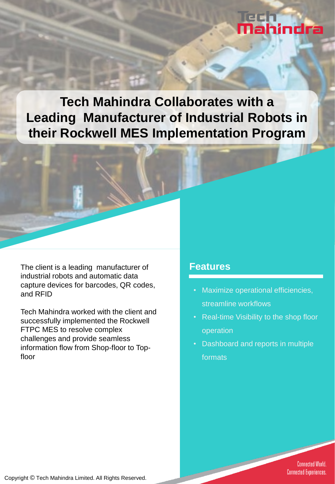# **Mahindra**

**Tech Mahindra Collaborates with a Leading Manufacturer of Industrial Robots in their Rockwell MES Implementation Program**

The client is a leading manufacturer of **Features** industrial robots and automatic data capture devices for barcodes, QR codes, and RFID

Tech Mahindra worked with the client and successfully implemented the Rockwell FTPC MES to resolve complex challenges and provide seamless information flow from Shop-floor to Topfloor

- Maximize operational efficiencies, streamline workflows
- Real-time Visibility to the shop floor operation
- Dashboard and reports in multiple formats

**Connected World. Connected Experiences.**